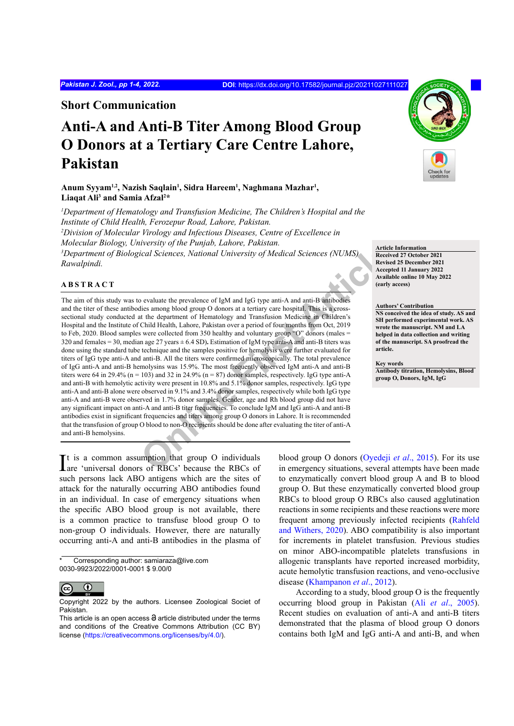**Short Communication**

# **Anti-A and Anti-B Titer Among Blood Group O Donors at a Tertiary Care Centre Lahore, Pakistan**

Anum Syyam<sup>ı,2</sup>, Nazish Saqlain<sup>ı</sup>, Sidra Hareem<sup>ı</sup>, Naghmana Mazhar<sup>ı</sup>, **Liaqat Ali3 and Samia Afzal2 \***

*1 Department of Hematology and Transfusion Medicine, The Children's Hospital and the Institute of Child Health, Ferozepur Road, Lahore, Pakistan. 2 Division of Molecular Virology and Infectious Diseases, Centre of Excellence in Molecular Biology, University of the Punjab, Lahore, Pakistan. 3 Department of Biological Sciences, National University of Medical Sciences (NUMS) Rawalpindi.*

## **ABSTRACT**

*Container* Solution (Container Articlean Sciences, National University of Medical Sciences (NUMS)<br> **Online First Article** Revised Articles<br>
Revised Articles<br>
Secretive Articles<br>
Secretive Articles<br>
Secretive Articles<br>
Sec The aim of this study was to evaluate the prevalence of IgM and IgG type anti-A and anti-B antibodies and the titer of these antibodies among blood group O donors at a tertiary care hospital. This is a crosssectional study conducted at the department of Hematology and Transfusion Medicine in Children's Hospital and the Institute of Child Health, Lahore, Pakistan over a period of four months from Oct, 2019 to Feb, 2020. Blood samples were collected from 350 healthy and voluntary group "O" donors (males = 320 and females = 30, median age 27 years ± 6.4 SD)**.** Estimation of IgM type anti-A and anti-B titers was done using the standard tube technique and the samples positive for hemolysis were further evaluated for titers of IgG type anti-A and anti-B. All the titers were confirmed microscopically. The total prevalence of IgG anti-A and anti-B hemolysins was 15.9%. The most frequently observed IgM anti-A and anti-B titers were 64 in 29.4% ( $n = 103$ ) and 32 in 24.9% ( $n = 87$ ) donor samples, respectively. IgG type anti-A and anti-B with hemolytic activity were present in 10.8% and 5.1% donor samples, respectively. IgG type anti-A and anti-B alone were observed in 9.1% and 3.4% donor samples, respectively while both IgG type anti-A and anti-B were observed in 1.7% donor samples. Gender, age and Rh blood group did not have any significant impact on anti-A and anti-B titer frequencies. To conclude IgM and IgG anti-A and anti-B antibodies exist in significant frequencies and titers among group O donors in Lahore. It is recommended that the transfusion of group O blood to non-O recipients should be done after evaluating the titer of anti-A and anti-B hemolysins.

**Article Information Received 27 October 2021 Revised 25 December 2021 Accepted 11 January 2022 Available online 10 May 2022 (early access)**

**Authors' Contribution**

**NS conceived the idea of study. AS and SH performed experimental work. AS wrote the manuscript. NM and LA helped in data collection and writing of the manuscript. SA proofread the article.** 

## **Key words**

**Antibody titration, Hemolysins, Blood group O, Donors, IgM, IgG**

It is a common assumption that group O individuals<br>
are 'universal donors of RBCs' because the RBCs of are 'universal donors of RBCs' because the RBCs of such persons lack ABO antigens which are the sites of attack for the naturally occurring ABO antibodies found in an individual. In case of emergency situations when the specific ABO blood group is not available, there is a common practice to transfuse blood group O to non-group O individuals. However, there are naturally occurring anti-A and anti-B antibodies in the plasma of

Corresponding author: samiaraza@live.com 0030-9923/2022/0001-0001 \$ 9.00/0



Copyright 2022 by the authors. Licensee Zoological Societ of Pakistan.

blood group O donors (Oyedeji *et al*., 2015). For its use in emergency situations, several attempts have been made to enzymatically convert blood group A and B to blood group O. But these enzymatically converted blood group RBCs to blood group O RBCs also caused agglutination reactions in some recipients and these reactions were more frequent among previously infected recipients ([Rahfeld](#page-3-1)  [and Withers, 2020\)](#page-3-1). ABO compatibility is also important for increments in platelet transfusion. Previous studies on minor ABO-incompatible platelets transfusions in allogenic transplants have reported increased morbidity, acute hemolytic transfusion reactions, and veno-occlusive disease ([Khampanon](#page-3-2) *et al*., 2012).

According to a study, blood group O is the frequently occurring blood group in Pakistan (Ali *et al*[., 2005\)](#page-3-3). Recent studies on evaluation of anti-A and anti-B titers demonstrated that the plasma of blood group O donors contains both IgM and IgG anti-A and anti-B, and when



This article is an open access  $\Theta$  article distributed under the terms and conditions of the Creative Commons Attribution (CC BY) license (https://creativecommons.org/licenses/by/4.0/).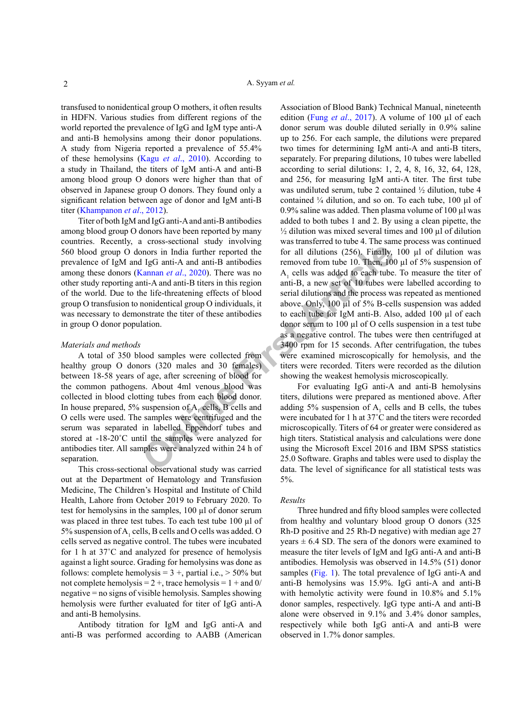transfused to nonidentical group O mothers, it often results in HDFN. Various studies from different regions of the world reported the prevalence of IgG and IgM type anti-A and anti-B hemolysins among their donor populations. A study from Nigeria reported a prevalence of 55.4% of these hemolysins (Kagu *et al*[., 2010](#page-3-4)). According to a study in Thailand, the titers of IgM anti-A and anti-B among blood group O donors were higher than that of observed in Japanese group O donors. They found only a significant relation between age of donor and IgM anti-B titer ([Khampanon](#page-3-2) *et al*., 2012).

Titer of both IgM and IgG anti-A and anti-B antibodies among blood group O donors have been reported by many countries. Recently, a cross-sectional study involving 560 blood group O donors in India further reported the prevalence of IgM and IgG anti-A and anti-B antibodies among these donors (Kannan *et al*., 2020). There was no other study reporting anti-A and anti-B titers in this region of the world. Due to the life-threatening effects of blood group O transfusion to nonidentical group O individuals, it was necessary to demonstrate the titer of these antibodies in group O donor population.

### *Materials and methods*

A total of 350 blood samples were collected from healthy group O donors (320 males and 30 females) between 18-58 years of age, after screening of blood for the common pathogens. About 4ml venous blood was collected in blood clotting tubes from each blood donor. In house prepared, 5% suspension of  $A_1$  cells, B cells and O cells were used. The samples were centrifuged and the serum was separated in labelled Eppendorf tubes and stored at -18-20°C until the samples were analyzed for antibodies titer. All samples were analyzed within 24 h of separation.

This cross-sectional observational study was carried out at the Department of Hematology and Transfusion Medicine, The Children's Hospital and Institute of Child Health, Lahore from October 2019 to February 2020. To test for hemolysins in the samples, 100 µl of donor serum was placed in three test tubes. To each test tube 100 µl of 5% suspension of  $A_1$  cells, B cells and O cells was added. O cells served as negative control. The tubes were incubated for 1 h at 37˚C and analyzed for presence of hemolysis against a light source. Grading for hemolysins was done as follows: complete hemolysis =  $3 +$ , partial i.e.,  $> 50\%$  but not complete hemolysis =  $2 +$ , trace hemolysis =  $1 +$  and 0/ negative = no signs of visible hemolysis. Samples showing hemolysis were further evaluated for titer of IgG anti-A and anti-B hemolysins.

Antibody titration for IgM and IgG anti-A and anti-B was performed according to AABB (American

The two samples were entitlinged and the two states of the samples were candidated Experimental and the samples were called Experimentation and the samples were called and the samples were called and the samples were calle Association of Blood Bank) Technical Manual, nineteenth edition (Fung *et al*[., 2017](#page-3-6)). A volume of 100 µl of each donor serum was double diluted serially in 0.9% saline up to 256. For each sample, the dilutions were prepared two times for determining IgM anti-A and anti-B titers, separately. For preparing dilutions, 10 tubes were labelled according to serial dilutions: 1, 2, 4, 8, 16, 32, 64, 128, and 256, for measuring IgM anti-A titer. The first tube was undiluted serum, tube 2 contained ½ dilution, tube 4 contained  $\frac{1}{4}$  dilution, and so on. To each tube, 100  $\mu$ l of 0.9% saline was added. Then plasma volume of 100  $\mu$ l was added to both tubes 1 and 2. By using a clean pipette, the  $\frac{1}{2}$  dilution was mixed several times and 100  $\mu$ l of dilution was transferred to tube 4. The same process was continued for all dilutions (256). Finally, 100 µl of dilution was removed from tube 10. Then, 100 µl of 5% suspension of  $A<sub>1</sub>$  cells was added to each tube. To measure the titer of anti-B, a new set of 10 tubes were labelled according to serial dilutions and the process was repeated as mentioned above. Only, 100 µl of 5% B-cells suspension was added to each tube for IgM anti-B. Also, added 100 µl of each donor serum to 100 µl of O cells suspension in a test tube as a negative control. The tubes were then centrifuged at 3400 rpm for 15 seconds. After centrifugation, the tubes were examined microscopically for hemolysis, and the titers were recorded. Titers were recorded as the dilution showing the weakest hemolysis microscopically.

For evaluating IgG anti-A and anti-B hemolysins titers, dilutions were prepared as mentioned above. After adding 5% suspension of  $A_1$  cells and B cells, the tubes were incubated for 1 h at 37˚C and the titers were recorded microscopically. Titers of 64 or greater were considered as high titers. Statistical analysis and calculations were done using the Microsoft Excel 2016 and IBM SPSS statistics 25.0 Software. Graphs and tables were used to display the data. The level of significance for all statistical tests was 5%.

#### *Results*

Three hundred and fifty blood samples were collected from healthy and voluntary blood group O donors (325 Rh-D positive and 25 Rh-D negative) with median age 27 years  $\pm$  6.4 SD. The sera of the donors were examined to measure the titer levels of IgM and IgG anti-A and anti-B antibodies. Hemolysis was observed in 14.5% (51) donor samples ([Fig. 1\)](#page-2-0). The total prevalence of IgG anti-A and anti-B hemolysins was 15.9%. IgG anti-A and anti-B with hemolytic activity were found in 10.8% and 5.1% donor samples, respectively. IgG type anti-A and anti-B alone were observed in 9.1% and 3.4% donor samples, respectively while both IgG anti-A and anti-B were observed in 1.7% donor samples.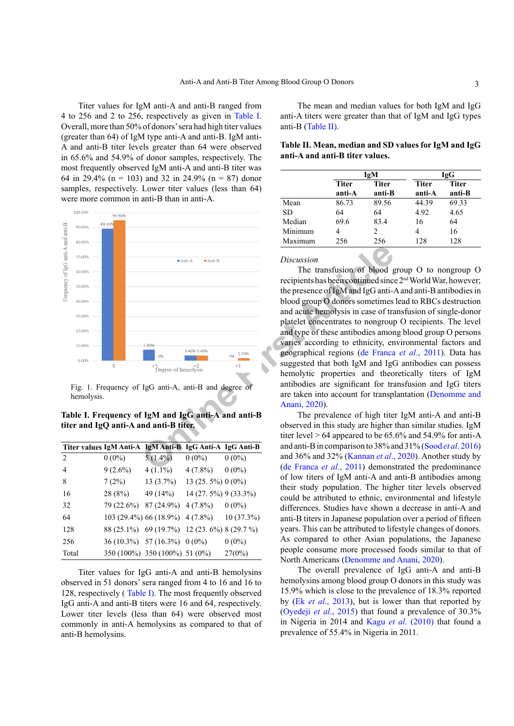Titer values for IgM anti-A and anti-B ranged from 4 to 256 and 2 to 256, respectively as given in [Table I.](#page-2-1) Overall, more than 50% of donors' sera had high titer values (greater than 64) of IgM type anti-A and anti-B. IgM anti-A and anti-B titer levels greater than 64 were observed in 65.6% and 54.9% of donor samples, respectively. The most frequently observed IgM anti-A and anti-B titer was 64 in 29.4% (n = 103) and 32 in 24.9% (n = 87) donor samples, respectively. Lower titer values (less than 64) were more common in anti-B than in anti-A.



<span id="page-2-0"></span>Fig. 1. Frequency of IgG anti-A, anti-B and degree of hemolysis.

<span id="page-2-1"></span>**Table I. Frequency of IgM and IgG anti-A and anti-B titer and IgQ anti-A and anti-B titer.**

|                    | Titer values IgM Anti-A IgM Anti-B IgG Anti-A IgG Anti-B |                                            |                       |              |
|--------------------|----------------------------------------------------------|--------------------------------------------|-----------------------|--------------|
| $\mathfrak{D}_{1}$ | $0(0\%)$                                                 | $5(1.4\%)$                                 | $0(0\%)$              | $0(0\%)$     |
| 4                  | $9(2.6\%)$                                               | $4(1.1\%)$                                 | $4(7.8\%)$            | $0(0\%)$     |
| 8                  | 7(2%)                                                    | $13(3.7\%)$                                | 13 (25. 5%) 0 (0%)    |              |
| 16                 | 28 (8%)                                                  | 49 (14%)                                   | 14 (27. 5%) 9 (33.3%) |              |
| 32                 | 79 (22.6%)                                               | $87(24.9\%)$ 4 (7.8%)                      |                       | $0(0\%)$     |
| 64                 |                                                          | 103 (29.4%) 66 (18.9%) 4 (7.8%)            |                       | $10(37.3\%)$ |
| 12.8               |                                                          | 88 (25.1%) 69 (19.7%) 12 (23.6%) 8 (29.7%) |                       |              |
| 256                |                                                          | 36 (10.3%) 57 (16.3%) 0 (0%)               |                       | $0(0\%)$     |
| Total              |                                                          | 350 (100%) 350 (100%) 51 (0%)              |                       | 27(0%)       |

Titer values for IgG anti-A and anti-B hemolysins observed in 51 donors' sera ranged from 4 to 16 and 16 to 128, respectively ( [Table I](#page-2-1)). The most frequently observed IgG anti-A and anti-B titers were 16 and 64, respectively. Lower titer levels (less than 64) were observed most commonly in anti-A hemolysins as compared to that of anti-B hemolysins.

The mean and median values for both IgM and IgG anti-A titers were greater than that of IgM and IgG types anti-B ([Table II\)](#page-2-2).

<span id="page-2-2"></span>**Table II. Mean, median and SD values for IgM and IgG anti-A and anti-B titer values.**

|           | IgM          |              | <b>IgG</b>   |              |
|-----------|--------------|--------------|--------------|--------------|
|           | <b>Titer</b> | <b>Titer</b> | <b>Titer</b> | <b>Titer</b> |
|           | anti-A       | anti-B       | anti-A       | anti-B       |
| Mean      | 86.73        | 89.56        | 44.39        | 69.33        |
| <b>SD</b> | 64           | 64           | 4.92         | 4.65         |
| Median    | 69.6         | 83.4         | 16           | 64           |
| Minimum   |              | 2            | 4            | 16           |
| Maximum   | 256          | 256          | 128          | 128          |

## *Discussion*

The transfusion of blood group O to nongroup O recipients has been continued since 2nd World War, however; the presence of IgM and IgG anti-A and anti-B antibodies in blood group O donors sometimes lead to RBCs destruction and acute hemolysis in case of transfusion of single-donor platelet concentrates to nongroup O recipients. The level and type of these antibodies among blood group O persons varies according to ethnicity, environmental factors and geographical regions (de Franca *et al*., 2011). Data has suggested that both IgM and IgG antibodies can possess hemolytic properties and theoretically titers of IgM antibodies are significant for transfusion and IgG titers are taken into account for transplantation [\(Denomme and](#page-3-8) Anani, 2020).

The prevalence of high titer IgM anti-A and anti-B observed in this study are higher than similar studies. IgM titer level  $> 64$  appeared to be  $65.6\%$  and  $54.9\%$  for anti-A and anti-B in comparison to 38% and 31% (Sood *et al*[. 2016\)](#page-3-9) and 36% and 32% (Kannan *et al*., 2020). Another study by (de Franca *et al*., 2011) demonstrated the predominance of low titers of IgM anti-A and anti-B antibodies among their study population. The higher titer levels observed could be attributed to ethnic, environmental and lifestyle differences. Studies have shown a decrease in anti-A and anti-B titers in Japanese population over a period of fifteen years. This can be attributed to lifestyle changes of donors. As compared to other Asian populations, the Japanese people consume more processed foods similar to that of North Americans [\(Denomme and Anani, 2020](#page-3-8)).

The overall prevalence of IgG anti-A and anti-B hemolysins among blood group O donors in this study was 15.9% which is close to the prevalence of 18.3% reported by (Ek *et al*[., 2013](#page-3-10)), but is lower than that reported by [\(Oyedeji](#page-3-0) *et al*., 2015) that found a prevalence of 30.3% in Nigeria in 2014 and Kagu *et al*[. \(2010\)](#page-3-4) that found a prevalence of 55.4% in Nigeria in 2011.